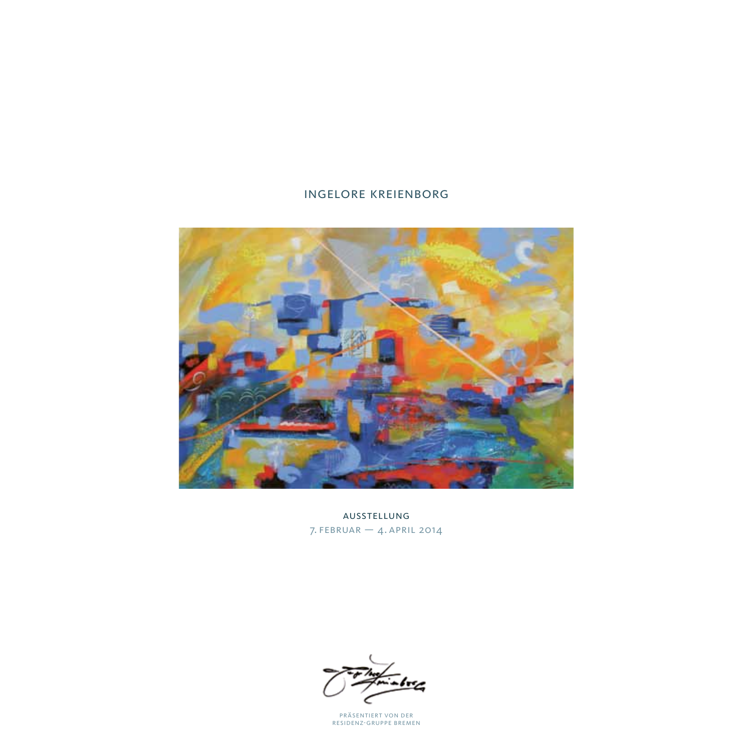# ingelore kreienborg



ausstellung  $7.$  FEBRUAR  $-$  4. APRIL 2014

präsentiert von der residenz-gruppe bremen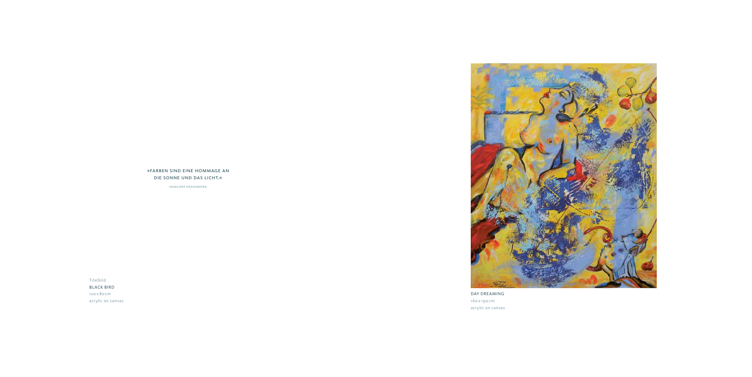Titelbild BLACK BIRD 120 x 80cm acrylic on canvas





ingelore kreienborg

DAY DREAMING 160 x 190 cm acrylic on canvas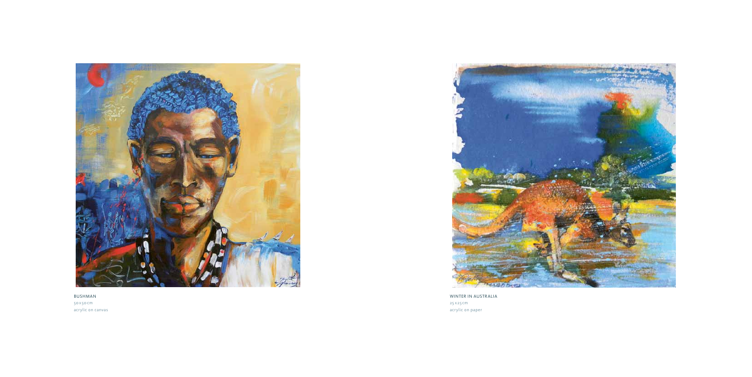

BUSHMAN 50x50 cm acrylic on canvas



WINTER IN AUSTRALIA 25 x25cm acrylic on paper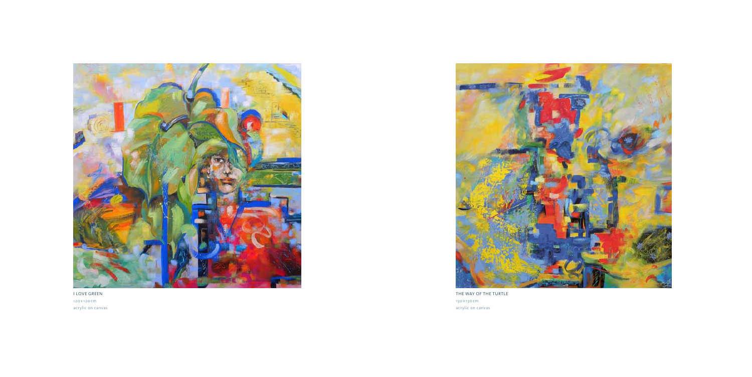

I LOVE GREEN 120x 120 cm acrylic on canvas



THE WAY OF THE TURTLE 130x 130 cm acrylic on canvas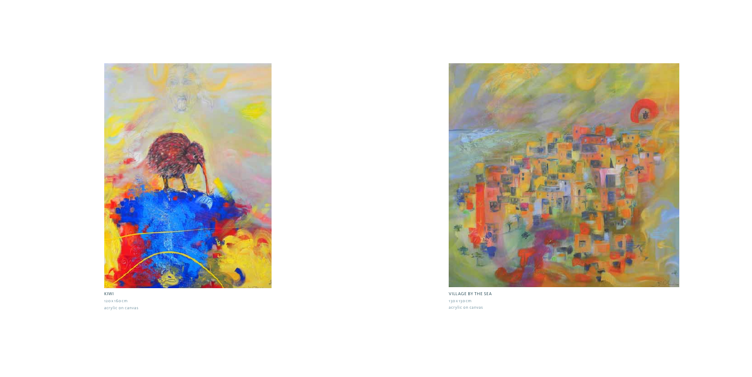

KIWI 120x 160 cm acrylic on canvas



VILLAGE BY THE SEA 130x 130 cm acrylic on canvas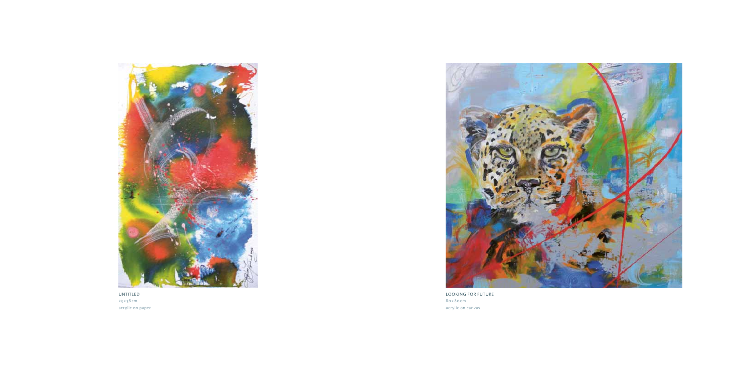

UNTITLED 23 x 38 cm acrylic on paper



LOOKING FOR FUTURE 80x 80cm acrylic on canvas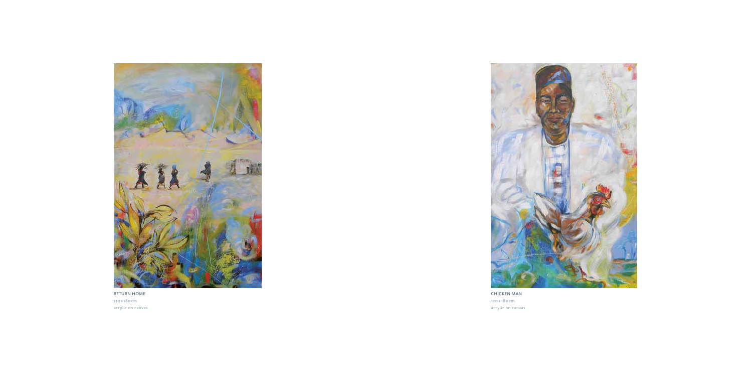

RETURN HOME 120x 180 cm acrylic on canvas



CHICKEN MAN 120 x 180 cm acrylic on canvas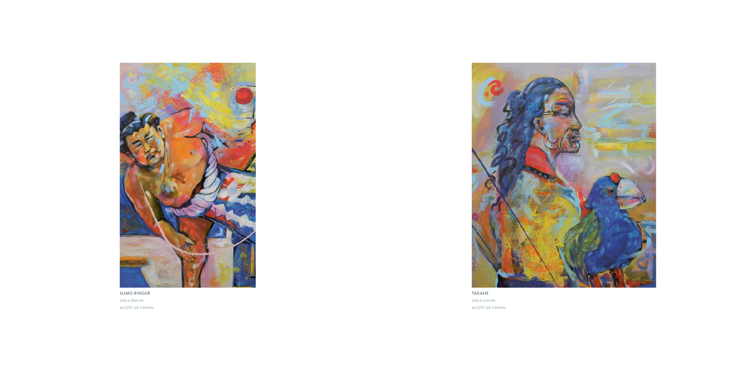

SUMO RINGER 100 x 160cm acrylic on canvas



TAKAHE 100 x 120cm acrylic on canvas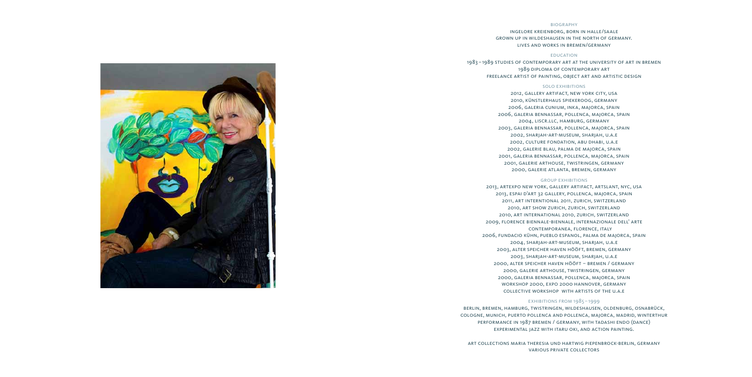# **BIOGRAPHY**

ingelore kreienborg, born in halle/saale grown up in wildeshausen in the north of germany. lives and works in bremen/germany

### education

1983 –1989 studies of contemporary art at the university of art in bremen 1989 diploma of contemporary art freelance artist of painting, object art and artistic design

### solo exhibitions

2012, gallery artifact, new york city, usa 2010, künstlerhaus spiekeroog, germany 2006, galeria cunium, inka, majorca, spain 2006, galeria bennassar, pollenca, majorca, spain 2004, liscr.llc, hamburg, germany 2003, galeria bennassar, pollenca, majorca, spain 2002, sharjah-art-museum, sharjah, u.a.e 2002, culture fondation, abu dhabi, u.a.e 2002, galerie blau, palma de majorca, spain 2001, galeria bennassar, pollenca, majorca, spain 2001, galerie arthouse, twistringen, germany 2000, galerie atlanta, bremen, germany

# group exhibitions

2013, artexpo new york, gallery artifact, artslant, nyc, usa 2013, espai d'art 32 gallery, pollenca, majorca, spain 2011, art interntional 2011, zurich, switzerland 2010, art show zurich, zurich, switzerland 2010, art international 2010, zurich, switzerland 2009, florence biennale-biennale, internazionale dell' arte contemporanea, florence, italy 2006, fundacio kühn, pueblo espanol, palma de majorca, spain 2004, sharjah-art-museum, sharjah, u.a.e 2003, alter speicher haven hööft, bremen, germany 2003, sharjah-art-museum, sharjah, u.a.e 2000, alter speicher haven hööft – bremen / germany 2000, galerie arthouse, twistringen, germany 2000, galeria bennassar, pollenca, majorca, spain workshop 2000, expo 2000 hannover, germany collective workshop with artists of the u.a.e

# exhibitions from 1985–1999

berlin, bremen, hamburg, twistringen, wildeshausen, oldenburg, osnabrück, cologne, munich, puerto pollenca and pollenca, majorca, madrid, winterthur performance in 1987 bremen / germany, with tadashi endo (dance) experimental jazz with itaru oki, and action painting.

art collections maria theresia und hartwig piepenbrock-berlin, germany various private collectors

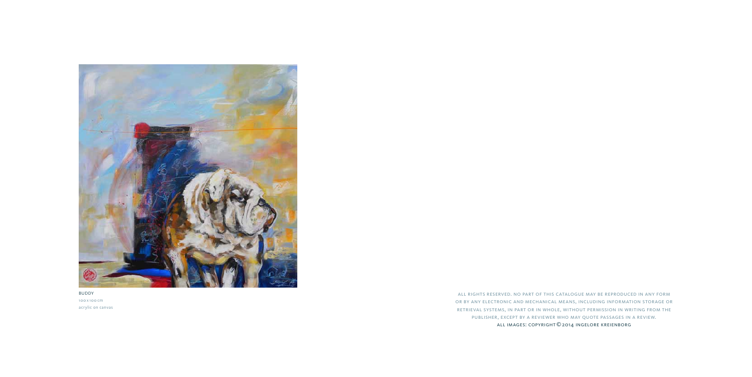all rights reserved. no part of this catalogue may be reproduced in any form or by any electronic and mechanical means, including information storage or retrieval systems, in part or in whole, without permission in writing from the publisher, except by a reviewer who may quote passages in a review. all images: copyright©2014 ingelore kreienborg



BUDDY 100 x 100 cm acrylic on canvas